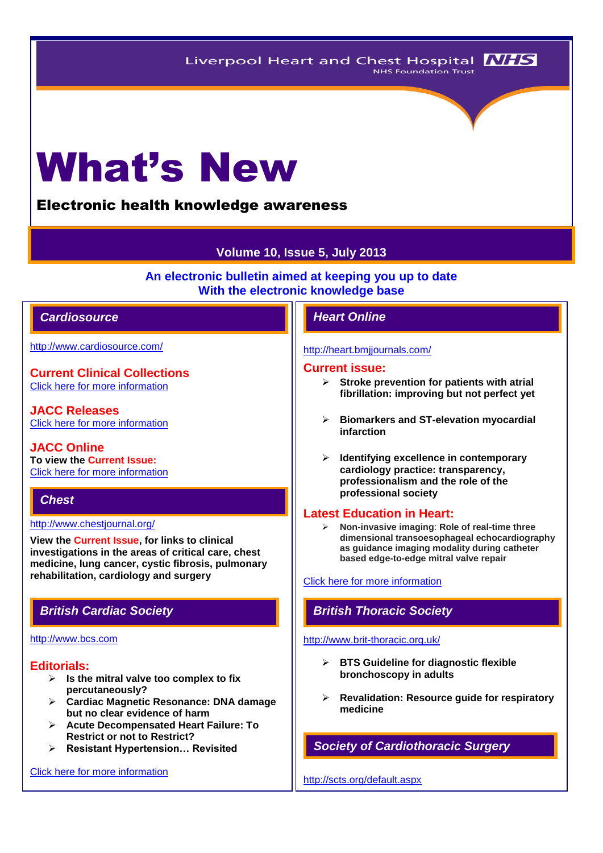# What's New

# Electronic health knowledge awareness

# **Volume 10, Issue 5, July 2013**

**An electronic bulletin aimed at keeping you up to date With the electronic knowledge base**

# *Cardiosource Heart Online*

<http://www.cardiosource.com/>

**Current Clinical Collections** [Click here for more information](http://www.cardiosource.org/science-and-quality/clinical-collections.aspx)

**JACC Releases** [Click here for more information](http://www.cardiosource.org/news-media/media-center/jacc-releases.aspx)

**JACC Online To view the Current Issue:** [Click here for more information](http://content.onlinejacc.org/current.dtl)

# *Chest*

#### <http://www.chestjournal.org/>

**View the Current Issue, for links to clinical investigations in the areas of critical care, chest medicine, lung cancer, cystic fibrosis, pulmonary rehabilitation, cardiology and surgery**

### [http://www.bcs.com](http://www.bcs.com/)

# **Editorials:**

- **Is the mitral valve too complex to fix percutaneously?**
- **Cardiac Magnetic Resonance: DNA damage but no clear evidence of harm**
- **Acute Decompensated Heart Failure: To Restrict or not to Restrict?**
- **Resistant Hypertension… Revisited**

# [Click here for more information](http://www.bcs.com/editorial/editorial.asp)

#### <http://heart.bmjjournals.com/>

#### **Current issue:**

- **Stroke prevention for patients with atrial fibrillation: improving but not perfect yet**
- **Biomarkers and ST-elevation myocardial infarction**
- **Identifying excellence in contemporary cardiology practice: transparency, professionalism and the role of the professional society**

### **Latest Education in Heart:**

 **Non-invasive imaging**: **Role of real-time three dimensional transoesophageal echocardiography as guidance imaging modality during catheter based edge-to-edge mitral valve repair**

#### Click here for more information

# *British Cardiac Society British Thoracic Society*

#### <http://www.brit-thoracic.org.uk/>

- **BTS Guideline for diagnostic flexible bronchoscopy in adults**
- **Revalidation: Resource guide for respiratory medicine**

# *Society of Cardiothoracic Surgery*

<http://scts.org/default.aspx>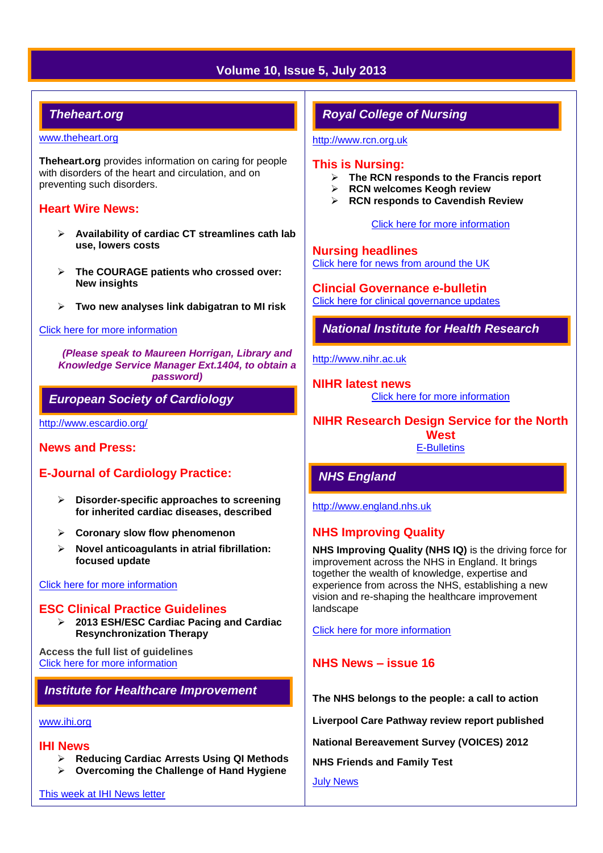# **Volume 10, Issue 5, July 2013**

# *Theheart.org*

#### [www.theheart.org](http://www.theheart.org/)

**Theheart.org** provides information on caring for people with disorders of the heart and circulation, and on preventing such disorders.

# **Heart Wire News:**

- **Availability of cardiac CT streamlines cath lab use, lowers costs**
- **The COURAGE patients who crossed over: New insights**
- **Two new analyses link dabigatran to MI risk**

#### [Click here for more information](http://www.theheart.org/section/heartwire.do)

*(Please speak to Maureen Horrigan, Library and Knowledge Service Manager Ext.1404, to obtain a password)*

# *European Society of Cardiology*

<http://www.escardio.org/>

**News and Press:** 

# **E-Journal of Cardiology Practice:**

- **Disorder-specific approaches to screening for inherited cardiac diseases, described**
- **Coronary slow flow phenomenon**
- **Novel anticoagulants in atrial fibrillation: focused update**

# [Click here for more information](http://www.escardio.org/communities/councils/ccp/e-journal/volume11/Pages/welcome.aspx)

#### **ESC Clinical Practice Guidelines**

 **2013 ESH/ESC Cardiac Pacing and Cardiac Resynchronization Therapy**

**Access the full list of guidelines**  [Click here for more information](http://www.escardio.org/guidelines-surveys/esc-guidelines/Pages/GuidelinesList.aspx)

# *Institute for Healthcare Improvement*

#### [www.ihi.org](http://www.ihi.org/)

#### **IHI News**

- **Reducing Cardiac Arrests Using QI Methods**
- **Overcoming the Challenge of Hand Hygiene**

[This week at IHI News letter](http://www.ihi.org/Documents/ThisWeekatIHI.htm) 

# *Royal College of Nursing*

[http://www.rcn.org.uk](http://www.rcn.org.uk/)

#### **This is Nursing:**

- **The RCN responds to the Francis report**
- **RCN welcomes Keogh review**
- **RCN responds to Cavendish Review**

[Click here for more information](http://thisisnursing.rcn.org.uk/members/)

**Nursing headlines**

[Click here for news from around the UK](http://www.rcn.org.uk/newsevents/news)

**Clincial Governance e-bulletin** [Click here for clinical governance updates](http://www.rcn.org.uk/development/practice/clinical_governance/quality_and_safety_e-bulletin/e-bulletin_archive)

*National Institute for Health Research* 

[http://www.nihr.ac.uk](http://www.nihr.ac.uk/)

**NIHR latest news** [Click here for more information](http://www.nihr.ac.uk/news/Pages/default.aspx)

**NIHR Research Design Service for the North West** [E-Bulletins](http://www.rds-nw.nihr.ac.uk/newstrainingevents/ebulletin.php)

# *NHS England*

[http://www.england.nhs.uk](http://www.england.nhs.uk/)

# **NHS Improving Quality**

**NHS Improving Quality (NHS IQ)** is the driving force for improvement across the NHS in England. It brings together the wealth of knowledge, expertise and experience from across the NHS, establishing a new vision and re-shaping the healthcare improvement landscape

[Click here for more information](http://www.england.nhs.uk/ourwork/qual-clin-lead/nhsiq/) 

# **NHS News – issue 16**

**The NHS belongs to the people: a call to action**

**Liverpool Care Pathway review report published**

**National Bereavement Survey (VOICES) 2012**

**NHS Friends and Family Test**

[July News](http://www.england.nhs.uk/2013/07/18/nhs-news-issue-16/)